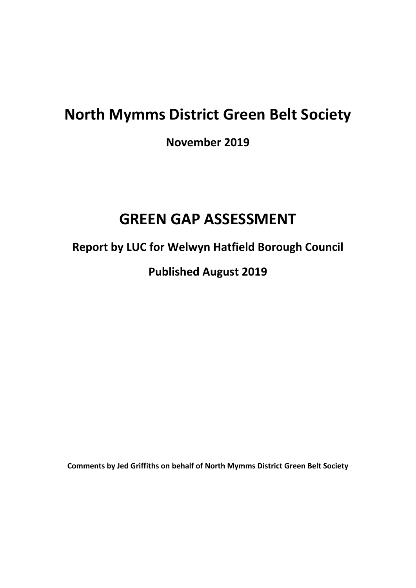# **North Mymms District Green Belt Society**

**November 2019**

## **GREEN GAP ASSESSMENT**

**Report by LUC for Welwyn Hatfield Borough Council**

**Published August 2019**

**Comments by Jed Griffiths on behalf of North Mymms District Green Belt Society**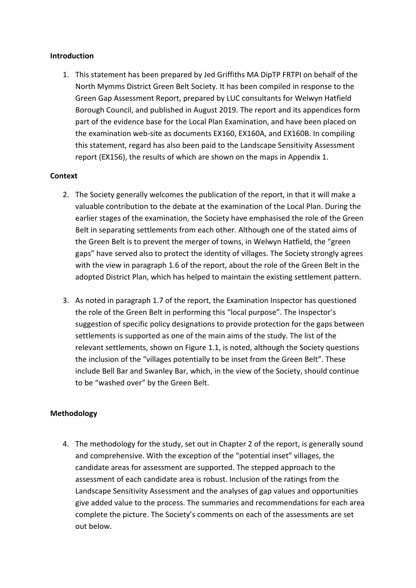## **Introduction**

1. This statement has been prepared by Jed Griffiths MA DipTP FRTPI on behalf of the North Mymms District Green Belt Society. It has been compiled in response to the Green Gap Assessment Report, prepared by LUC consultants for Welwyn Hatfield Borough Council, and published in August 2019. The report and its appendices form part of the evidence base for the Local Plan Examination, and have been placed on the examination web-site as documents EX160, EX160A, and EX160B. In compiling this statement, regard has also been paid to the Landscape Sensitivity Assessment report (EX156), the results of which are shown on the maps in Appendix 1.

#### **Context**

- 2. The Society generally welcomes the publication of the report, in that it will make a valuable contribution to the debate at the examination of the Local Plan. During the earlier stages of the examination, the Society have emphasised the role of the Green Belt in separating settlements from each other. Although one of the stated aims of the Green Belt is to prevent the merger of towns, in Welwyn Hatfield, the "green gaps" have served also to protect the identity of villages. The Society strongly agrees with the view in paragraph 1.6 of the report, about the role of the Green Belt in the adopted District Plan, which has helped to maintain the existing settlement pattern.
- 3. As noted in paragraph 1.7 of the report, the Examination Inspector has questioned the role of the Green Belt in performing this "local purpose". The Inspector's suggestion of specific policy designations to provide protection for the gaps between settlements is supported as one of the main aims of the study. The list of the relevant settlements, shown on Figure 1.1, is noted, although the Society questions the inclusion of the "villages potentially to be inset from the Green Belt". These include Bell Bar and Swanley Bar, which, in the view of the Society, should continue to be "washed over" by the Green Belt.

## **Methodology**

4. The methodology for the study, set out in Chapter 2 of the report, is generally sound and comprehensive. With the exception of the "potential inset" villages, the candidate areas for assessment are supported. The stepped approach to the assessment of each candidate area is robust. Inclusion of the ratings from the Landscape Sensitivity Assessment and the analyses of gap values and opportunities give added value to the process. The summaries and recommendations for each area complete the picture. The Society's comments on each of the assessments are set out below.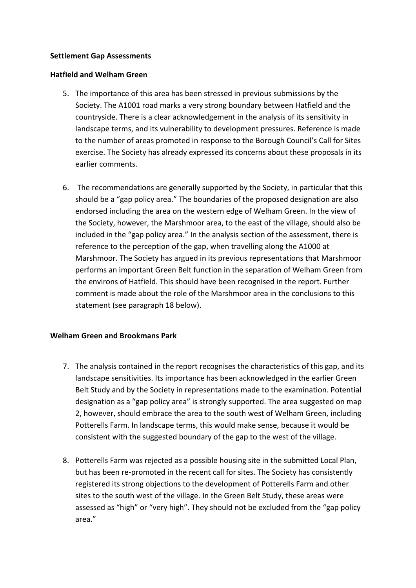## **Settlement Gap Assessments**

#### **Hatfield and Welham Green**

- 5. The importance of this area has been stressed in previous submissions by the Society. The A1001 road marks a very strong boundary between Hatfield and the countryside. There is a clear acknowledgement in the analysis of its sensitivity in landscape terms, and its vulnerability to development pressures. Reference is made to the number of areas promoted in response to the Borough Council's Call for Sites exercise. The Society has already expressed its concerns about these proposals in its earlier comments.
- 6. The recommendations are generally supported by the Society, in particular that this should be a "gap policy area." The boundaries of the proposed designation are also endorsed including the area on the western edge of Welham Green. In the view of the Society, however, the Marshmoor area, to the east of the village, should also be included in the "gap policy area." In the analysis section of the assessment, there is reference to the perception of the gap, when travelling along the A1000 at Marshmoor. The Society has argued in its previous representations that Marshmoor performs an important Green Belt function in the separation of Welham Green from the environs of Hatfield. This should have been recognised in the report. Further comment is made about the role of the Marshmoor area in the conclusions to this statement (see paragraph 18 below).

## **Welham Green and Brookmans Park**

- 7. The analysis contained in the report recognises the characteristics of this gap, and its landscape sensitivities. Its importance has been acknowledged in the earlier Green Belt Study and by the Society in representations made to the examination. Potential designation as a "gap policy area" is strongly supported. The area suggested on map 2, however, should embrace the area to the south west of Welham Green, including Potterells Farm. In landscape terms, this would make sense, because it would be consistent with the suggested boundary of the gap to the west of the village.
- 8. Potterells Farm was rejected as a possible housing site in the submitted Local Plan, but has been re-promoted in the recent call for sites. The Society has consistently registered its strong objections to the development of Potterells Farm and other sites to the south west of the village. In the Green Belt Study, these areas were assessed as "high" or "very high". They should not be excluded from the "gap policy area."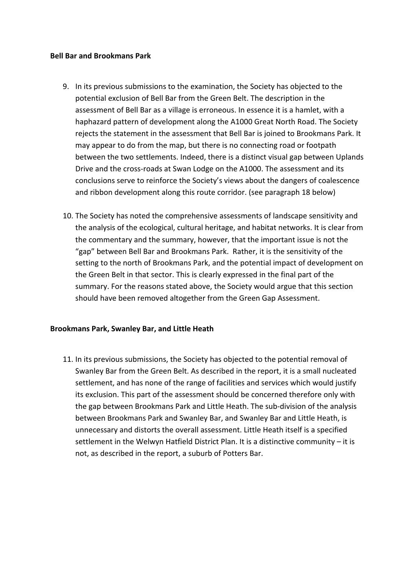#### **Bell Bar and Brookmans Park**

- 9. In its previous submissions to the examination, the Society has objected to the potential exclusion of Bell Bar from the Green Belt. The description in the assessment of Bell Bar as a village is erroneous. In essence it is a hamlet, with a haphazard pattern of development along the A1000 Great North Road. The Society rejects the statement in the assessment that Bell Bar is joined to Brookmans Park. It may appear to do from the map, but there is no connecting road or footpath between the two settlements. Indeed, there is a distinct visual gap between Uplands Drive and the cross-roads at Swan Lodge on the A1000. The assessment and its conclusions serve to reinforce the Society's views about the dangers of coalescence and ribbon development along this route corridor. (see paragraph 18 below)
- 10. The Society has noted the comprehensive assessments of landscape sensitivity and the analysis of the ecological, cultural heritage, and habitat networks. It is clear from the commentary and the summary, however, that the important issue is not the "gap" between Bell Bar and Brookmans Park. Rather, it is the sensitivity of the setting to the north of Brookmans Park, and the potential impact of development on the Green Belt in that sector. This is clearly expressed in the final part of the summary. For the reasons stated above, the Society would argue that this section should have been removed altogether from the Green Gap Assessment.

## **Brookmans Park, Swanley Bar, and Little Heath**

11. In its previous submissions, the Society has objected to the potential removal of Swanley Bar from the Green Belt. As described in the report, it is a small nucleated settlement, and has none of the range of facilities and services which would justify its exclusion. This part of the assessment should be concerned therefore only with the gap between Brookmans Park and Little Heath. The sub-division of the analysis between Brookmans Park and Swanley Bar, and Swanley Bar and Little Heath, is unnecessary and distorts the overall assessment. Little Heath itself is a specified settlement in the Welwyn Hatfield District Plan. It is a distinctive community – it is not, as described in the report, a suburb of Potters Bar.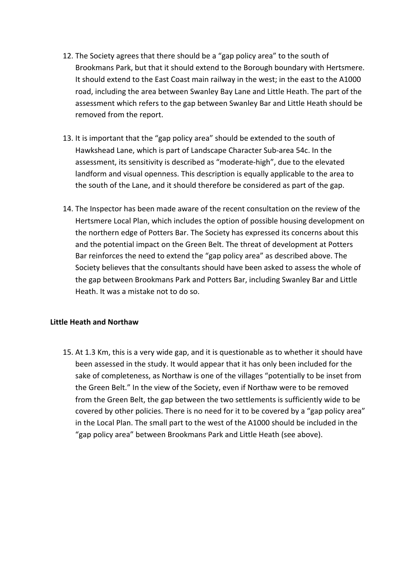- 12. The Society agrees that there should be a "gap policy area" to the south of Brookmans Park, but that it should extend to the Borough boundary with Hertsmere. It should extend to the East Coast main railway in the west; in the east to the A1000 road, including the area between Swanley Bay Lane and Little Heath. The part of the assessment which refers to the gap between Swanley Bar and Little Heath should be removed from the report.
- 13. It is important that the "gap policy area" should be extended to the south of Hawkshead Lane, which is part of Landscape Character Sub-area 54c. In the assessment, its sensitivity is described as "moderate-high", due to the elevated landform and visual openness. This description is equally applicable to the area to the south of the Lane, and it should therefore be considered as part of the gap.
- 14. The Inspector has been made aware of the recent consultation on the review of the Hertsmere Local Plan, which includes the option of possible housing development on the northern edge of Potters Bar. The Society has expressed its concerns about this and the potential impact on the Green Belt. The threat of development at Potters Bar reinforces the need to extend the "gap policy area" as described above. The Society believes that the consultants should have been asked to assess the whole of the gap between Brookmans Park and Potters Bar, including Swanley Bar and Little Heath. It was a mistake not to do so.

## **Little Heath and Northaw**

15. At 1.3 Km, this is a very wide gap, and it is questionable as to whether it should have been assessed in the study. It would appear that it has only been included for the sake of completeness, as Northaw is one of the villages "potentially to be inset from the Green Belt." In the view of the Society, even if Northaw were to be removed from the Green Belt, the gap between the two settlements is sufficiently wide to be covered by other policies. There is no need for it to be covered by a "gap policy area" in the Local Plan. The small part to the west of the A1000 should be included in the "gap policy area" between Brookmans Park and Little Heath (see above).